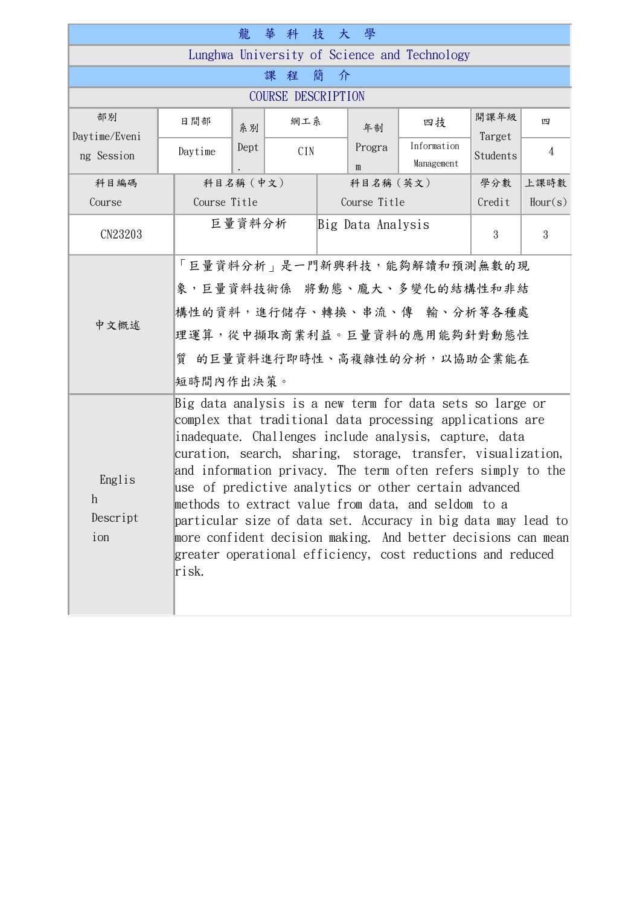|                                                        |                                                                                                                                                                                                                                                                                                                                                                                                                                                                                                                                                                                                                                            | 龍            |           |   |                   |              | 華 科 技 大 學              |                                              |                |                |
|--------------------------------------------------------|--------------------------------------------------------------------------------------------------------------------------------------------------------------------------------------------------------------------------------------------------------------------------------------------------------------------------------------------------------------------------------------------------------------------------------------------------------------------------------------------------------------------------------------------------------------------------------------------------------------------------------------------|--------------|-----------|---|-------------------|--------------|------------------------|----------------------------------------------|----------------|----------------|
|                                                        |                                                                                                                                                                                                                                                                                                                                                                                                                                                                                                                                                                                                                                            |              |           |   |                   |              |                        | Lunghwa University of Science and Technology |                |                |
|                                                        |                                                                                                                                                                                                                                                                                                                                                                                                                                                                                                                                                                                                                                            |              | 課         | 程 | 簡                 | 介            |                        |                                              |                |                |
| COURSE DESCRIPTION                                     |                                                                                                                                                                                                                                                                                                                                                                                                                                                                                                                                                                                                                                            |              |           |   |                   |              |                        |                                              |                |                |
| 部別<br>Daytime/Eveni<br>ng Session                      | 日間部                                                                                                                                                                                                                                                                                                                                                                                                                                                                                                                                                                                                                                        | 網工系<br>系別    |           |   |                   |              | 四技<br>年制               |                                              | 開課年級<br>Target | 四              |
|                                                        | Daytime                                                                                                                                                                                                                                                                                                                                                                                                                                                                                                                                                                                                                                    | Dept         |           |   | <b>CIN</b>        |              | Progra<br>$\mathbf{m}$ | Information<br>Management                    | Students       | $\overline{4}$ |
| 科目編碼                                                   |                                                                                                                                                                                                                                                                                                                                                                                                                                                                                                                                                                                                                                            |              | 科目名稱 (中文) |   |                   |              | 科目名稱 (英文)              |                                              | 學分數            | 上課時數           |
| Course                                                 |                                                                                                                                                                                                                                                                                                                                                                                                                                                                                                                                                                                                                                            | Course Title |           |   |                   | Course Title |                        |                                              | Credit         | Hour(s)        |
| CN23203                                                | 巨量資料分析                                                                                                                                                                                                                                                                                                                                                                                                                                                                                                                                                                                                                                     |              |           |   | Big Data Analysis |              |                        | 3                                            | 3              |                |
| 中文概述                                                   | 「巨量資料分析」是一門新興科技,能夠解讀和預測無數的現<br>象,巨量資料技術係 將動態、龐大、多變化的結構性和非結<br>構性的資料,進行儲存、轉換、串流、傳 輸、分析等各種處<br>理運算,從中擷取商業利益。巨量資料的應用能夠針對動態性<br>的巨量資料進行即時性、高複雜性的分析,以協助企業能在<br>質<br>短時間內作出決策。                                                                                                                                                                                                                                                                                                                                                                                                                                                                   |              |           |   |                   |              |                        |                                              |                |                |
| Englis<br>$\boldsymbol{\mathrm{h}}$<br>Descript<br>ion | Big data analysis is a new term for data sets so large or<br>complex that traditional data processing applications are<br>inadequate. Challenges include analysis, capture, data<br>curation, search, sharing, storage, transfer, visualization,<br>and information privacy. The term often refers simply to the<br>use of predictive analytics or other certain advanced<br>methods to extract value from data, and seldom to a<br>particular size of data set. Accuracy in big data may lead to<br>more confident decision making. And better decisions can mean<br>greater operational efficiency, cost reductions and reduced<br>risk. |              |           |   |                   |              |                        |                                              |                |                |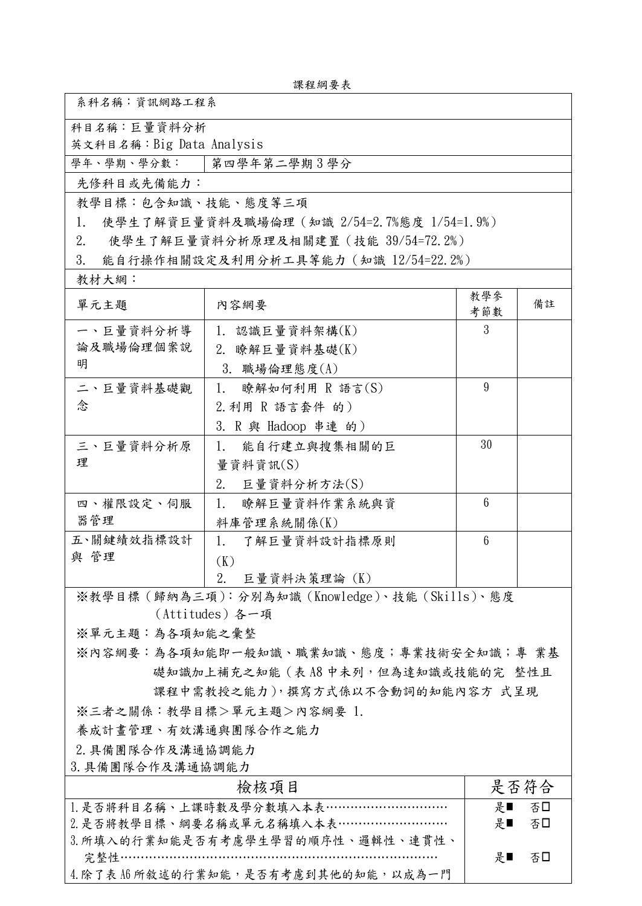課程綱要表

系科名稱:資訊網路工程系

科目名稱:巨量資料分析

英文科目名稱:Big Data Analysis

學年、學期、學分數: 第四學年第二學期 3 學分

先修科目或先備能力:

教學目標:包含知識、技能、態度等三項

1. 使學生了解資巨量資料及職場倫理(知識 2/54=2.7%態度 1/54=1.9%)

2. 使學生了解巨量資料分析原理及相關建置(技能 39/54=72.2%)

3. 能自行操作相關設定及利用分析工具等能力(知識 12/54=22.2%)

教材大網:

| 單元主題       | 內容網要                | 教學參<br>考節數      | 備註 |
|------------|---------------------|-----------------|----|
| 一、巨量資料分析導  | 1.認識巨量資料架構(K)       | 3               |    |
| 論及職場倫理個案說  | 2. 瞭解巨量資料基礎(K)      |                 |    |
| 明          | 職場倫理態度(A)<br>3.     |                 |    |
| 二、巨量資料基礎觀  | 瞭解如何利用 R 語言(S)      | 9               |    |
| 念          | 2. 利用 R 語言套件 的)     |                 |    |
|            | 3. R 與 Hadoop 串連 的) |                 |    |
| 三、巨量資料分析原  | 能自行建立與搜集相關的巨        | 30              |    |
| 理          | 量資料資訊(S)            |                 |    |
|            | 2.<br>巨量資料分析方法(S)   |                 |    |
| 四、權限設定、伺服  | 1.<br>瞭解巨量資料作業系統與資  | $6\phantom{1}6$ |    |
| 器管理        | 料庫管理系統關係(K)         |                 |    |
| 五、關鍵績效指標設計 | 了解巨量資料設計指標原則        | 6               |    |
| 與 管理       | (K)                 |                 |    |
|            | 2.<br>巨量資料決策理論 (K)  |                 |    |

※教學目標(歸納為三項):分別為知識(Knowledge)、技能(Skills)、態度 (Attitudes)各一項

※單元主題:為各項知能之彙整

※內容網要:為各項知能即一般知識、職業知識、態度;專業技術安全知識;專 業基 礎知識加上補充之知能(表 A8 中未列,但為達知識或技能的完 整性且 課程中需教授之能力),撰寫方式係以不含動詞的知能內容方 式呈現

※三者之關係:教學目標>單元主題>內容網要 1.

養成計畫管理、有效溝通與團隊合作之能力

2.具備團隊合作及溝通協調能力

3.具備團隊合作及溝通協調能力

| 檢核項目                                 | 是否符合    |
|--------------------------------------|---------|
| 1. 是否將科目名稱、上課時數及學分數填入本表…………………………    | 否口<br>분 |
| 2. 是否將教學目標、綱要名稱或單元名稱填入本表………………………    | 분<br>否口 |
| 3. 所填入的行業知能是否有考慮學生學習的順序性、邏輯性、連貫性、    |         |
| 宗整性…………………………………………………………………         | 분<br>否□ |
| 4. 除了表 A6 所敘述的行業知能,是否有考慮到其他的知能,以成為一門 |         |